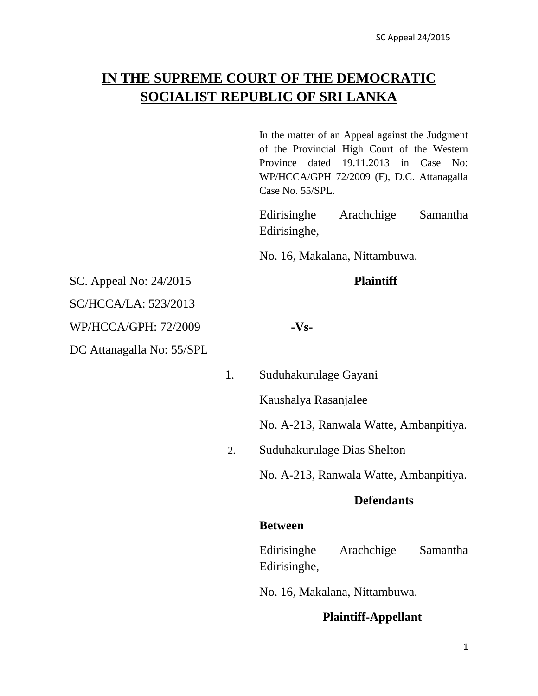# **IN THE SUPREME COURT OF THE DEMOCRATIC SOCIALIST REPUBLIC OF SRI LANKA**

In the matter of an Appeal against the Judgment of the Provincial High Court of the Western Province dated 19.11.2013 in Case No: WP/HCCA/GPH 72/2009 (F), D.C. Attanagalla Case No. 55/SPL.

Edirisinghe Arachchige Samantha Edirisinghe,

No. 16, Makalana, Nittambuwa.

SC. Appeal No: 24/2015 **Plaintiff**

SC/HCCA/LA: 523/2013

WP/HCCA/GPH: 72/2009 **-Vs-**

DC Attanagalla No: 55/SPL

- 
- 1. Suduhakurulage Gayani

Kaushalya Rasanjalee

No. A-213, Ranwala Watte, Ambanpitiya.

2. Suduhakurulage Dias Shelton

No. A-213, Ranwala Watte, Ambanpitiya.

# **Defendants**

### **Between**

Edirisinghe Arachchige Samantha Edirisinghe,

No. 16, Makalana, Nittambuwa.

# **Plaintiff-Appellant**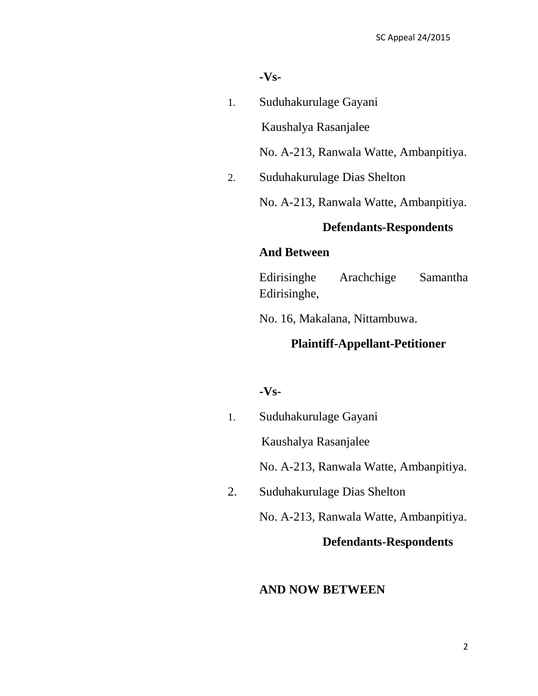#### **-Vs-**

1. Suduhakurulage Gayani

Kaushalya Rasanjalee

No. A-213, Ranwala Watte, Ambanpitiya.

2. Suduhakurulage Dias Shelton

No. A-213, Ranwala Watte, Ambanpitiya.

# **Defendants-Respondents**

## **And Between**

Edirisinghe Arachchige Samantha Edirisinghe,

No. 16, Makalana, Nittambuwa.

# **Plaintiff-Appellant-Petitioner**

#### **-Vs-**

1. Suduhakurulage Gayani

Kaushalya Rasanjalee

No. A-213, Ranwala Watte, Ambanpitiya.

2. Suduhakurulage Dias Shelton

No. A-213, Ranwala Watte, Ambanpitiya.

## **Defendants-Respondents**

### **AND NOW BETWEEN**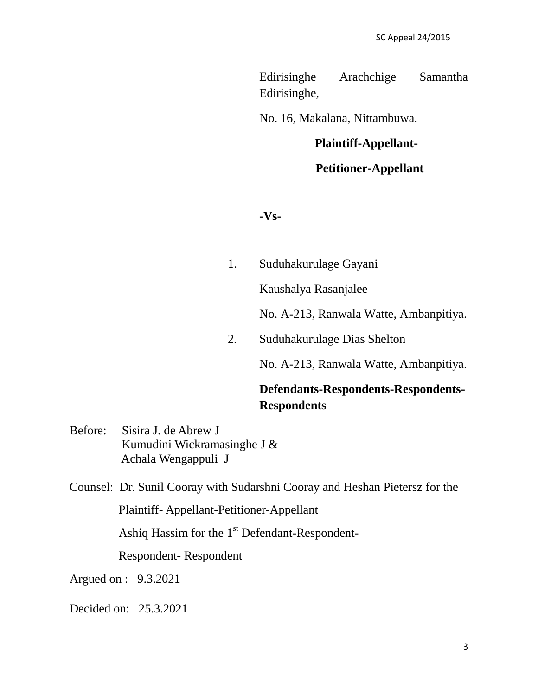Edirisinghe Arachchige Samantha Edirisinghe,

No. 16, Makalana, Nittambuwa.

### **Plaintiff-Appellant-**

# **Petitioner-Appellant**

**-Vs-**

1. Suduhakurulage Gayani

Kaushalya Rasanjalee

No. A-213, Ranwala Watte, Ambanpitiya.

2. Suduhakurulage Dias Shelton

No. A-213, Ranwala Watte, Ambanpitiya.

# **Defendants-Respondents-Respondents-Respondents**

Before: Sisira J. de Abrew J Kumudini Wickramasinghe J & Achala Wengappuli J

Counsel: Dr. Sunil Cooray with Sudarshni Cooray and Heshan Pietersz for the

Plaintiff- Appellant-Petitioner-Appellant

Ashiq Hassim for the  $1<sup>st</sup>$  Defendant-Respondent-

Respondent- Respondent

Argued on : 9.3.2021

Decided on: 25.3.2021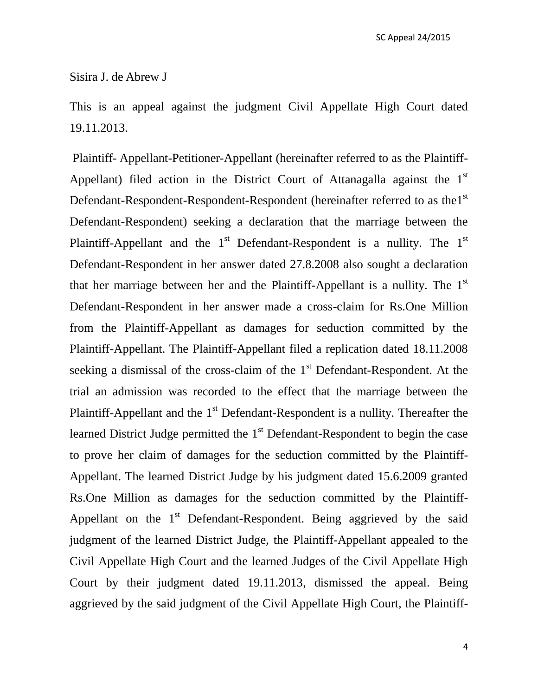#### Sisira J. de Abrew J

This is an appeal against the judgment Civil Appellate High Court dated 19.11.2013.

Plaintiff- Appellant-Petitioner-Appellant (hereinafter referred to as the Plaintiff-Appellant) filed action in the District Court of Attanagalla against the  $1<sup>st</sup>$ Defendant-Respondent-Respondent-Respondent (hereinafter referred to as the1st Defendant-Respondent) seeking a declaration that the marriage between the Plaintiff-Appellant and the  $1<sup>st</sup>$  Defendant-Respondent is a nullity. The  $1<sup>st</sup>$ Defendant-Respondent in her answer dated 27.8.2008 also sought a declaration that her marriage between her and the Plaintiff-Appellant is a nullity. The  $1<sup>st</sup>$ Defendant-Respondent in her answer made a cross-claim for Rs.One Million from the Plaintiff-Appellant as damages for seduction committed by the Plaintiff-Appellant. The Plaintiff-Appellant filed a replication dated 18.11.2008 seeking a dismissal of the cross-claim of the  $1<sup>st</sup>$  Defendant-Respondent. At the trial an admission was recorded to the effect that the marriage between the Plaintiff-Appellant and the  $1<sup>st</sup>$  Defendant-Respondent is a nullity. Thereafter the learned District Judge permitted the  $1<sup>st</sup>$  Defendant-Respondent to begin the case to prove her claim of damages for the seduction committed by the Plaintiff-Appellant. The learned District Judge by his judgment dated 15.6.2009 granted Rs.One Million as damages for the seduction committed by the Plaintiff-Appellant on the  $1<sup>st</sup>$  Defendant-Respondent. Being aggrieved by the said judgment of the learned District Judge, the Plaintiff-Appellant appealed to the Civil Appellate High Court and the learned Judges of the Civil Appellate High Court by their judgment dated 19.11.2013, dismissed the appeal. Being aggrieved by the said judgment of the Civil Appellate High Court, the Plaintiff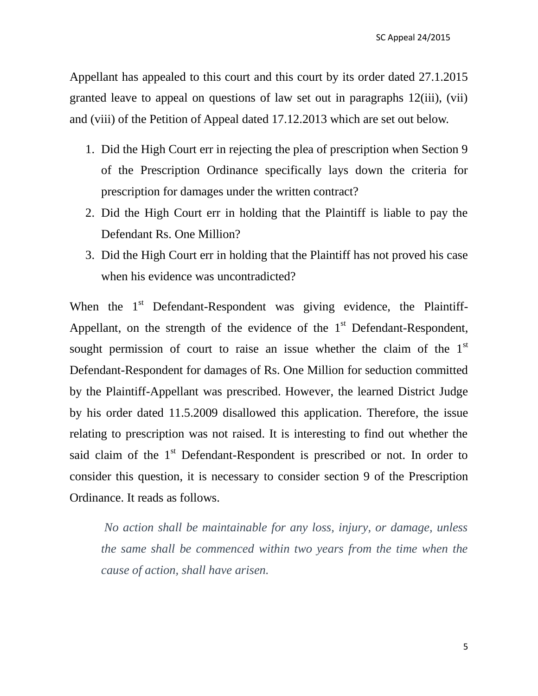Appellant has appealed to this court and this court by its order dated 27.1.2015 granted leave to appeal on questions of law set out in paragraphs 12(iii), (vii) and (viii) of the Petition of Appeal dated 17.12.2013 which are set out below.

- 1. Did the High Court err in rejecting the plea of prescription when Section 9 of the Prescription Ordinance specifically lays down the criteria for prescription for damages under the written contract?
- 2. Did the High Court err in holding that the Plaintiff is liable to pay the Defendant Rs. One Million?
- 3. Did the High Court err in holding that the Plaintiff has not proved his case when his evidence was uncontradicted?

When the  $1<sup>st</sup>$  Defendant-Respondent was giving evidence, the Plaintiff-Appellant, on the strength of the evidence of the  $1<sup>st</sup>$  Defendant-Respondent, sought permission of court to raise an issue whether the claim of the  $1<sup>st</sup>$ Defendant-Respondent for damages of Rs. One Million for seduction committed by the Plaintiff-Appellant was prescribed. However, the learned District Judge by his order dated 11.5.2009 disallowed this application. Therefore, the issue relating to prescription was not raised. It is interesting to find out whether the said claim of the 1<sup>st</sup> Defendant-Respondent is prescribed or not. In order to consider this question, it is necessary to consider section 9 of the Prescription Ordinance. It reads as follows.

*No action shall be maintainable for any loss, injury, or damage, unless the same shall be commenced within two years from the time when the cause of action, shall have arisen.*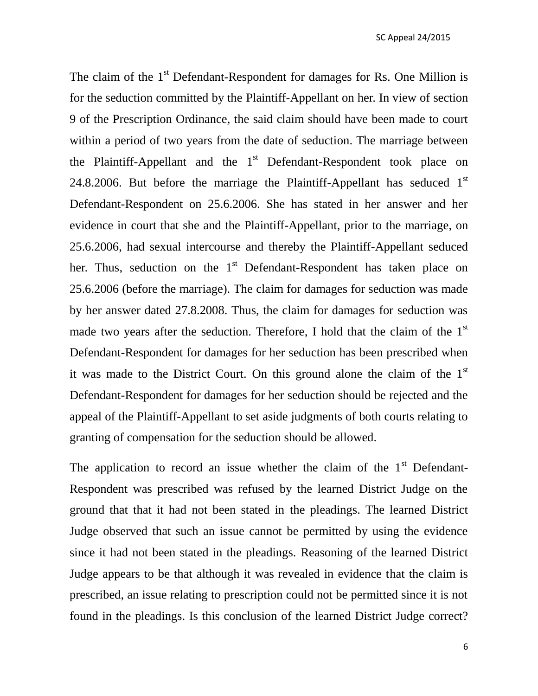The claim of the  $1<sup>st</sup>$  Defendant-Respondent for damages for Rs. One Million is for the seduction committed by the Plaintiff-Appellant on her. In view of section 9 of the Prescription Ordinance, the said claim should have been made to court within a period of two years from the date of seduction. The marriage between the Plaintiff-Appellant and the  $1<sup>st</sup>$  Defendant-Respondent took place on 24.8.2006. But before the marriage the Plaintiff-Appellant has seduced  $1<sup>st</sup>$ Defendant-Respondent on 25.6.2006. She has stated in her answer and her evidence in court that she and the Plaintiff-Appellant, prior to the marriage, on 25.6.2006, had sexual intercourse and thereby the Plaintiff-Appellant seduced her. Thus, seduction on the  $1<sup>st</sup>$  Defendant-Respondent has taken place on 25.6.2006 (before the marriage). The claim for damages for seduction was made by her answer dated 27.8.2008. Thus, the claim for damages for seduction was made two years after the seduction. Therefore, I hold that the claim of the  $1<sup>st</sup>$ Defendant-Respondent for damages for her seduction has been prescribed when it was made to the District Court. On this ground alone the claim of the  $1<sup>st</sup>$ Defendant-Respondent for damages for her seduction should be rejected and the appeal of the Plaintiff-Appellant to set aside judgments of both courts relating to granting of compensation for the seduction should be allowed.

The application to record an issue whether the claim of the  $1<sup>st</sup>$  Defendant-Respondent was prescribed was refused by the learned District Judge on the ground that that it had not been stated in the pleadings. The learned District Judge observed that such an issue cannot be permitted by using the evidence since it had not been stated in the pleadings. Reasoning of the learned District Judge appears to be that although it was revealed in evidence that the claim is prescribed, an issue relating to prescription could not be permitted since it is not found in the pleadings. Is this conclusion of the learned District Judge correct?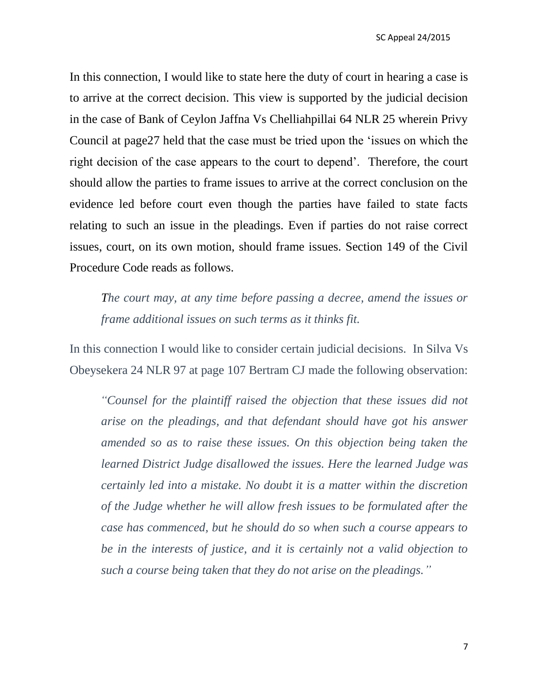In this connection, I would like to state here the duty of court in hearing a case is to arrive at the correct decision. This view is supported by the judicial decision in the case of Bank of Ceylon Jaffna Vs Chelliahpillai 64 NLR 25 wherein Privy Council at page27 held that the case must be tried upon the "issues on which the right decision of the case appears to the court to depend'. Therefore, the court should allow the parties to frame issues to arrive at the correct conclusion on the evidence led before court even though the parties have failed to state facts relating to such an issue in the pleadings. Even if parties do not raise correct issues, court, on its own motion, should frame issues. Section 149 of the Civil Procedure Code reads as follows.

*The court may, at any time before passing a decree, amend the issues or frame additional issues on such terms as it thinks fit.*

In this connection I would like to consider certain judicial decisions. In Silva Vs Obeysekera 24 NLR 97 at page 107 Bertram CJ made the following observation:

 *"Counsel for the plaintiff raised the objection that these issues did not arise on the pleadings, and that defendant should have got his answer amended so as to raise these issues. On this objection being taken the learned District Judge disallowed the issues. Here the learned Judge was certainly led into a mistake. No doubt it is a matter within the discretion of the Judge whether he will allow fresh issues to be formulated after the case has commenced, but he should do so when such a course appears to be in the interests of justice, and it is certainly not a valid objection to such a course being taken that they do not arise on the pleadings."*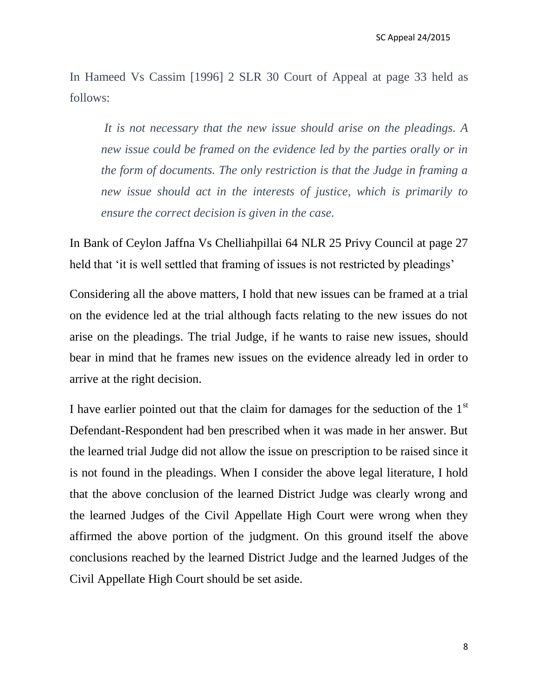In Hameed Vs Cassim [1996] 2 SLR 30 Court of Appeal at page 33 held as follows:

*It is not necessary that the new issue should arise on the pleadings. A new issue could be framed on the evidence led by the parties orally or in the form of documents. The only restriction is that the Judge in framing a new issue should act in the interests of justice, which is primarily to ensure the correct decision is given in the case.*

In Bank of Ceylon Jaffna Vs Chelliahpillai 64 NLR 25 Privy Council at page 27 held that 'it is well settled that framing of issues is not restricted by pleadings'

Considering all the above matters, I hold that new issues can be framed at a trial on the evidence led at the trial although facts relating to the new issues do not arise on the pleadings. The trial Judge, if he wants to raise new issues, should bear in mind that he frames new issues on the evidence already led in order to arrive at the right decision.

I have earlier pointed out that the claim for damages for the seduction of the  $1<sup>st</sup>$ Defendant-Respondent had ben prescribed when it was made in her answer. But the learned trial Judge did not allow the issue on prescription to be raised since it is not found in the pleadings. When I consider the above legal literature, I hold that the above conclusion of the learned District Judge was clearly wrong and the learned Judges of the Civil Appellate High Court were wrong when they affirmed the above portion of the judgment. On this ground itself the above conclusions reached by the learned District Judge and the learned Judges of the Civil Appellate High Court should be set aside.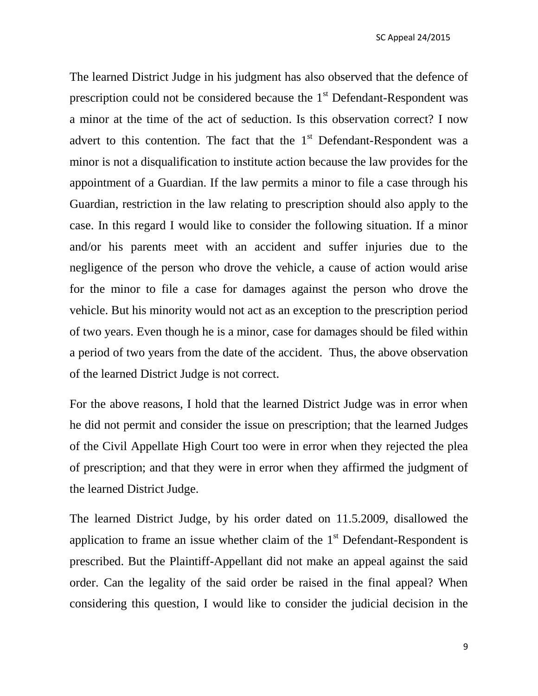The learned District Judge in his judgment has also observed that the defence of prescription could not be considered because the  $1<sup>st</sup>$  Defendant-Respondent was a minor at the time of the act of seduction. Is this observation correct? I now advert to this contention. The fact that the  $1<sup>st</sup>$  Defendant-Respondent was a minor is not a disqualification to institute action because the law provides for the appointment of a Guardian. If the law permits a minor to file a case through his Guardian, restriction in the law relating to prescription should also apply to the case. In this regard I would like to consider the following situation. If a minor and/or his parents meet with an accident and suffer injuries due to the negligence of the person who drove the vehicle, a cause of action would arise for the minor to file a case for damages against the person who drove the vehicle. But his minority would not act as an exception to the prescription period of two years. Even though he is a minor, case for damages should be filed within a period of two years from the date of the accident. Thus, the above observation of the learned District Judge is not correct.

For the above reasons, I hold that the learned District Judge was in error when he did not permit and consider the issue on prescription; that the learned Judges of the Civil Appellate High Court too were in error when they rejected the plea of prescription; and that they were in error when they affirmed the judgment of the learned District Judge.

The learned District Judge, by his order dated on 11.5.2009, disallowed the application to frame an issue whether claim of the  $1<sup>st</sup>$  Defendant-Respondent is prescribed. But the Plaintiff-Appellant did not make an appeal against the said order. Can the legality of the said order be raised in the final appeal? When considering this question, I would like to consider the judicial decision in the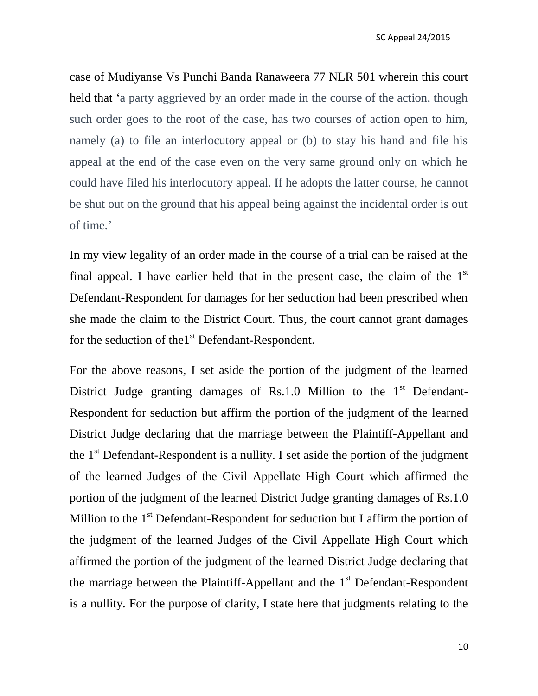case of Mudiyanse Vs Punchi Banda Ranaweera 77 NLR 501 wherein this court held that 'a party aggrieved by an order made in the course of the action, though such order goes to the root of the case, has two courses of action open to him, namely (a) to file an interlocutory appeal or (b) to stay his hand and file his appeal at the end of the case even on the very same ground only on which he could have filed his interlocutory appeal. If he adopts the latter course, he cannot be shut out on the ground that his appeal being against the incidental order is out of time.'

In my view legality of an order made in the course of a trial can be raised at the final appeal. I have earlier held that in the present case, the claim of the  $1<sup>st</sup>$ Defendant-Respondent for damages for her seduction had been prescribed when she made the claim to the District Court. Thus, the court cannot grant damages for the seduction of the $1<sup>st</sup>$  Defendant-Respondent.

For the above reasons, I set aside the portion of the judgment of the learned District Judge granting damages of Rs.1.0 Million to the  $1<sup>st</sup>$  Defendant-Respondent for seduction but affirm the portion of the judgment of the learned District Judge declaring that the marriage between the Plaintiff-Appellant and the  $1<sup>st</sup>$  Defendant-Respondent is a nullity. I set aside the portion of the judgment of the learned Judges of the Civil Appellate High Court which affirmed the portion of the judgment of the learned District Judge granting damages of Rs.1.0 Million to the  $1<sup>st</sup>$  Defendant-Respondent for seduction but I affirm the portion of the judgment of the learned Judges of the Civil Appellate High Court which affirmed the portion of the judgment of the learned District Judge declaring that the marriage between the Plaintiff-Appellant and the  $1<sup>st</sup>$  Defendant-Respondent is a nullity. For the purpose of clarity, I state here that judgments relating to the